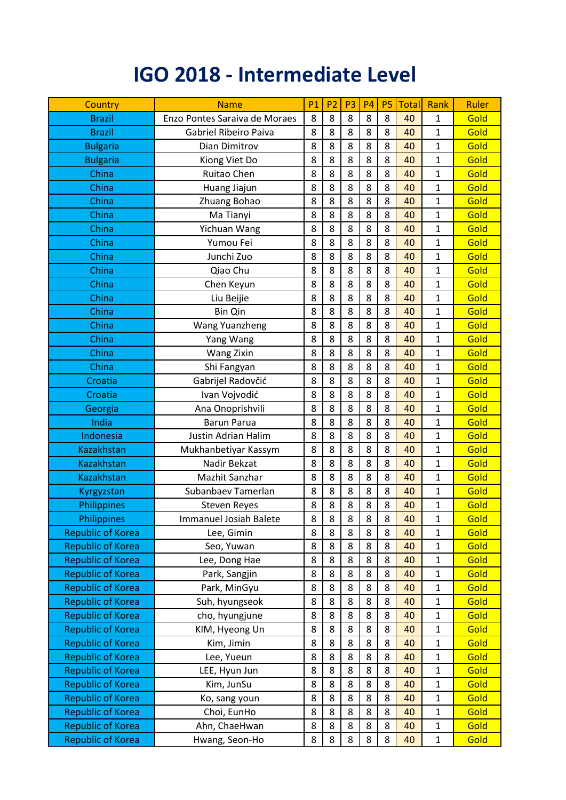## **IGO 2018 - Intermediate Level**

| Country                  | <b>Name</b>                   | <b>P1</b> | P <sub>2</sub> | P <sub>3</sub> | <b>P4</b> | <b>P5</b> | <b>Total</b> | Rank         | Ruler |
|--------------------------|-------------------------------|-----------|----------------|----------------|-----------|-----------|--------------|--------------|-------|
| <b>Brazil</b>            | Enzo Pontes Saraiva de Moraes | 8         | 8              | 8              | 8         | 8         | 40           | $\mathbf{1}$ | Gold  |
| <b>Brazil</b>            | Gabriel Ribeiro Paiva         | 8         | 8              | 8              | 8         | 8         | 40           | 1            | Gold  |
| <b>Bulgaria</b>          | Dian Dimitrov                 | 8         | 8              | 8              | 8         | 8         | 40           | $\mathbf{1}$ | Gold  |
| <b>Bulgaria</b>          | Kiong Viet Do                 | 8         | 8              | 8              | 8         | 8         | 40           | 1            | Gold  |
| China                    | Ruitao Chen                   | 8         | 8              | 8              | 8         | 8         | 40           | $\mathbf{1}$ | Gold  |
| China                    | Huang Jiajun                  | 8         | 8              | 8              | 8         | 8         | 40           | $\mathbf{1}$ | Gold  |
| China                    | Zhuang Bohao                  | 8         | 8              | 8              | 8         | 8         | 40           | 1            | Gold  |
| China                    | Ma Tianyi                     | 8         | 8              | 8              | 8         | 8         | 40           | 1            | Gold  |
| China                    | Yichuan Wang                  | 8         | 8              | 8              | 8         | 8         | 40           | $\mathbf{1}$ | Gold  |
| China                    | Yumou Fei                     | 8         | 8              | 8              | 8         | 8         | 40           | 1            | Gold  |
| China                    | Junchi Zuo                    | 8         | 8              | 8              | 8         | 8         | 40           | 1            | Gold  |
| China                    | Qiao Chu                      | 8         | 8              | 8              | 8         | 8         | 40           | $\mathbf{1}$ | Gold  |
| China                    | Chen Keyun                    | 8         | 8              | 8              | 8         | 8         | 40           | $\mathbf{1}$ | Gold  |
| China                    | Liu Beijie                    | 8         | 8              | 8              | 8         | 8         | 40           | 1            | Gold  |
| China                    | Bin Qin                       | 8         | 8              | 8              | 8         | 8         | 40           | $\mathbf{1}$ | Gold  |
| China                    | Wang Yuanzheng                | 8         | 8              | 8              | 8         | 8         | 40           | 1            | Gold  |
| China                    | Yang Wang                     | 8         | 8              | 8              | 8         | 8         | 40           | 1            | Gold  |
| China                    | <b>Wang Zixin</b>             | 8         | 8              | 8              | 8         | 8         | 40           | $\mathbf{1}$ | Gold  |
| China                    | Shi Fangyan                   | 8         | 8              | 8              | 8         | 8         | 40           | 1            | Gold  |
| Croatia                  | Gabrijel Radovčić             | 8         | 8              | 8              | 8         | 8         | 40           | 1            | Gold  |
| Croatia                  | Ivan Vojvodić                 | 8         | 8              | 8              | 8         | 8         | 40           | 1            | Gold  |
| Georgia                  | Ana Onoprishvili              | 8         | 8              | 8              | 8         | 8         | 40           | $\mathbf{1}$ | Gold  |
| India                    | <b>Barun Parua</b>            | 8         | 8              | 8              | 8         | 8         | 40           | $\mathbf{1}$ | Gold  |
| Indonesia                | <b>Justin Adrian Halim</b>    | 8         | 8              | 8              | 8         | 8         | 40           | $\mathbf{1}$ | Gold  |
| <b>Kazakhstan</b>        | Mukhanbetiyar Kassym          | 8         | 8              | 8              | 8         | 8         | 40           | $\mathbf{1}$ | Gold  |
| <b>Kazakhstan</b>        | Nadir Bekzat                  | 8         | 8              | 8              | 8         | 8         | 40           | 1            | Gold  |
| <b>Kazakhstan</b>        | Mazhit Sanzhar                | 8         | 8              | 8              | 8         | 8         | 40           | $\mathbf{1}$ | Gold  |
| Kyrgyzstan               | Subanbaev Tamerlan            | 8         | 8              | 8              | 8         | 8         | 40           | $\mathbf{1}$ | Gold  |
| Philippines              | <b>Steven Reyes</b>           | 8         | 8              | 8              | 8         | 8         | 40           | 1            | Gold  |
| Philippines              | Immanuel Josiah Balete        | 8         | 8              | 8              | 8         | 8         | 40           | 1            | Gold  |
| <b>Republic of Korea</b> | Lee, Gimin                    | 8         | 8              | 8              | 8         | 8         | 40           | $\mathbf{1}$ | Gold  |
| <b>Republic of Korea</b> | Seo, Yuwan                    | 8         | 8              | 8              | 8         | 8         | 40           | $\mathbf{1}$ | Gold  |
| <b>Republic of Korea</b> | Lee, Dong Hae                 | 8         | 8              | 8              | 8         | 8         | 40           | $\mathbf{1}$ | Gold  |
| <b>Republic of Korea</b> | Park, Sangjin                 | 8         | 8              | 8              | 8         | 8         | 40           | $\mathbf{1}$ | Gold  |
| <b>Republic of Korea</b> | Park, MinGyu                  | 8         | 8              | 8              | 8         | 8         | 40           | $\mathbf 1$  | Gold  |
| <b>Republic of Korea</b> | Suh, hyungseok                | 8         | 8              | 8              | 8         | 8         | 40           | $\mathbf{1}$ | Gold  |
| <b>Republic of Korea</b> | cho, hyungjune                | 8         | 8              | 8              | 8         | 8         | 40           | $\mathbf{1}$ | Gold  |
| <b>Republic of Korea</b> | KIM, Hyeong Un                | 8         | 8              | 8              | 8         | 8         | 40           | $\mathbf 1$  | Gold  |
| <b>Republic of Korea</b> | Kim, Jimin                    | 8         | 8              | 8              | 8         | 8         | 40           | $\mathbf{1}$ | Gold  |
| <b>Republic of Korea</b> | Lee, Yueun                    | 8         | 8              | 8              | 8         | 8         | 40           | $\mathbf{1}$ | Gold  |
| <b>Republic of Korea</b> | LEE, Hyun Jun                 | 8         | 8              | 8              | 8         | 8         | 40           | $\mathbf{1}$ | Gold  |
| <b>Republic of Korea</b> | Kim, JunSu                    | 8         | 8              | 8              | 8         | 8         | 40           | $\mathbf 1$  | Gold  |
| <b>Republic of Korea</b> | Ko, sang youn                 | 8         | 8              | 8              | 8         | 8         | 40           | $\mathbf{1}$ | Gold  |
| <b>Republic of Korea</b> | Choi, EunHo                   | 8         | 8              | 8              | 8         | 8         | 40           | $\mathbf{1}$ | Gold  |
| <b>Republic of Korea</b> | Ahn, ChaeHwan                 | 8         | 8              | 8              | 8         | 8         | 40           | $\mathbf{1}$ | Gold  |
| <b>Republic of Korea</b> | Hwang, Seon-Ho                | 8         | 8              | 8              | 8         | 8         | 40           | $\mathbf 1$  | Gold  |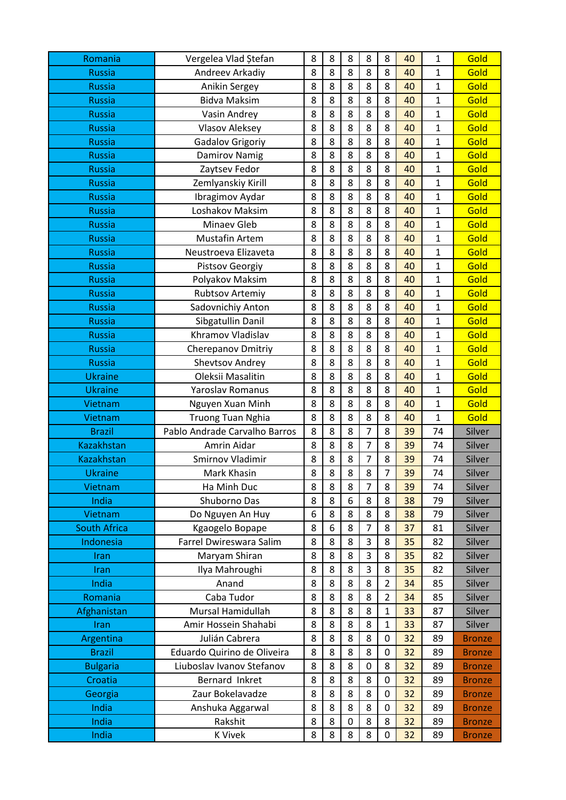| Romania             | Vergelea Vlad Ștefan          | 8      | 8      | 8                     | 8              | 8              | 40       | 1            | Gold          |
|---------------------|-------------------------------|--------|--------|-----------------------|----------------|----------------|----------|--------------|---------------|
| <b>Russia</b>       | Andreev Arkadiy               | 8      | 8      | 8                     | 8              | 8              | 40       | $\mathbf{1}$ | Gold          |
| <b>Russia</b>       | Anikin Sergey                 | 8      | 8      | 8                     | 8              | 8              | 40       | $\mathbf{1}$ | Gold          |
| <b>Russia</b>       | <b>Bidva Maksim</b>           | 8      | 8      | 8                     | 8              | 8              | 40       | $\mathbf{1}$ | Gold          |
| <b>Russia</b>       | Vasin Andrey                  | 8      | 8      | 8                     | 8              | 8              | 40       | $\mathbf{1}$ | Gold          |
| <b>Russia</b>       | <b>Vlasov Aleksey</b>         | 8      | 8      | 8                     | 8              | 8              | 40       | $\mathbf{1}$ | Gold          |
| <b>Russia</b>       | <b>Gadalov Grigoriy</b>       | 8      | 8      | 8                     | 8              | 8              | 40       | $\mathbf{1}$ | Gold          |
| <b>Russia</b>       | <b>Damirov Namig</b>          | 8      | 8      | 8                     | 8              | 8              | 40       | 1            | Gold          |
| <b>Russia</b>       | Zaytsev Fedor                 | 8      | 8      | 8                     | 8              | 8              | 40       | $\mathbf{1}$ | Gold          |
| <b>Russia</b>       | Zemlyanskiy Kirill            | 8      | 8      | 8                     | 8              | 8              | 40       | $\mathbf{1}$ | Gold          |
| <b>Russia</b>       | Ibragimov Aydar               | 8      | 8      | 8                     | 8              | 8              | 40       | $\mathbf{1}$ | Gold          |
| <b>Russia</b>       | Loshakov Maksim               | 8      | 8      | 8                     | 8              | 8              | 40       | $\mathbf{1}$ | Gold          |
| <b>Russia</b>       | Minaev Gleb                   | 8      | 8      | 8                     | 8              | 8              | 40       | $\mathbf{1}$ | Gold          |
| <b>Russia</b>       | Mustafin Artem                | 8      | 8      | 8                     | 8              | 8              | 40       | $\mathbf{1}$ | Gold          |
| <b>Russia</b>       | Neustroeva Elizaveta          | 8      | 8      | 8                     | 8              | 8              | 40       | $\mathbf{1}$ | Gold          |
| <b>Russia</b>       | <b>Pistsov Georgiy</b>        | 8      | 8      | 8                     | 8              | 8              | 40       | $\mathbf{1}$ | Gold          |
| <b>Russia</b>       | Polyakov Maksim               | 8      | 8      | 8                     | 8              | 8              | 40       | $\mathbf{1}$ | Gold          |
| <b>Russia</b>       | <b>Rubtsov Artemiy</b>        | 8      | 8      | 8                     | 8              | 8              | 40       | $\mathbf{1}$ | Gold          |
| <b>Russia</b>       | Sadovnichiy Anton             | 8      | 8      | 8                     | 8              | 8              | 40       | $\mathbf{1}$ | Gold          |
| <b>Russia</b>       | Sibgatullin Danil             | 8      | 8      | 8                     | 8              | 8              | 40       | 1            | Gold          |
| <b>Russia</b>       | Khramov Vladislav             | 8      | 8      | 8                     | 8              | 8              | 40       | $\mathbf{1}$ | Gold          |
| <b>Russia</b>       | <b>Cherepanov Dmitriy</b>     | 8      | 8      | 8                     | 8              | 8              | 40       | $\mathbf{1}$ | Gold          |
| <b>Russia</b>       | <b>Shevtsov Andrey</b>        | 8      | 8      | 8                     | 8              | 8              | 40       | $\mathbf{1}$ | Gold          |
| <b>Ukraine</b>      | Oleksii Masalitin             | 8      | 8      | 8                     | 8              | 8              | 40       | $\mathbf{1}$ | Gold          |
| <b>Ukraine</b>      | Yaroslav Romanus              | 8      | 8      | 8                     | 8              | 8              | 40       | $\mathbf{1}$ | Gold          |
| Vietnam             | Nguyen Xuan Minh              | 8      | 8      | 8                     | 8              | 8              | 40       | $\mathbf{1}$ | Gold          |
| Vietnam             | <b>Truong Tuan Nghia</b>      | 8      | 8      | 8                     | 8              | 8              | 40       | $\mathbf{1}$ | Gold          |
| <b>Brazil</b>       | Pablo Andrade Carvalho Barros | 8      | 8      | 8                     | 7              | 8              | 39       | 74           | Silver        |
| <b>Kazakhstan</b>   | Amrin Aidar                   | 8      | 8      | 8                     | $\overline{7}$ | 8              | 39       | 74           | Silver        |
| <b>Kazakhstan</b>   | Smirnov Vladimir              | 8      | 8      | 8                     | 7              | 8              | 39       | 74           | Silver        |
| <b>Ukraine</b>      | Mark Khasin                   | 8      | 8      | 8                     | 8              | $\overline{7}$ | 39       | 74           | Silver        |
| Vietnam             | Ha Minh Duc                   | 8      | 8      | 8                     | $\overline{7}$ | 8              | 39       | 74           | Silver        |
| India               | Shuborno Das                  | 8      | 8      | 6                     | 8              | 8              | 38       | 79           | Silver        |
| Vietnam             | Do Nguyen An Huy              | 6      | 8      | 8                     | 8              | 8              | 38       | 79           | Silver        |
| <b>South Africa</b> | Kgaogelo Bopape               | 8      | 6      | 8                     | $\overline{7}$ | 8              | 37       | 81           | Silver        |
| Indonesia           | Farrel Dwireswara Salim       | 8      | 8      | 8                     | 3              | 8              | 35       | 82           | Silver        |
| Iran                | Maryam Shiran                 | 8      | 8      | 8                     | 3              | 8              | 35       | 82           | Silver        |
| Iran                | Ilya Mahroughi                | 8      | 8      | 8                     | 3              | 8              | 35       | 82           | Silver        |
| India               | Anand                         | 8      | 8      | 8                     | 8              | $\overline{2}$ | 34       | 85           | Silver        |
| Romania             | Caba Tudor                    | 8      | 8      | 8                     | 8              | $\overline{2}$ | 34       | 85           | Silver        |
| Afghanistan         | Mursal Hamidullah             | 8      | 8      | 8                     | 8              | $\mathbf{1}$   | 33       | 87           | Silver        |
| <b>Iran</b>         | Amir Hossein Shahabi          | 8      | 8      | 8                     | 8              | $\mathbf 1$    | 33       | 87           | Silver        |
| Argentina           | Julián Cabrera                | 8      | 8      | 8                     | 8              | $\pmb{0}$      | 32       | 89           | <b>Bronze</b> |
| <b>Brazil</b>       | Eduardo Quirino de Oliveira   | 8      | 8      | 8                     | 8              | $\pmb{0}$      | 32       | 89           | <b>Bronze</b> |
| <b>Bulgaria</b>     | Liuboslav Ivanov Stefanov     | 8      | 8      | 8                     | $\mathbf 0$    | 8              | 32       | 89           | <b>Bronze</b> |
| Croatia             | Bernard Inkret                | 8      | 8      | 8                     | 8              | 0              | 32       | 89           | <b>Bronze</b> |
| Georgia             | Zaur Bokelavadze              | 8      | 8      | 8                     | 8              | $\mathbf 0$    | 32       | 89           | <b>Bronze</b> |
| India               | Anshuka Aggarwal              | 8      | 8      | 8                     | 8              | 0              | 32       | 89           | <b>Bronze</b> |
| India<br>India      | Rakshit<br><b>K Vivek</b>     | 8<br>8 | 8<br>8 | $\boldsymbol{0}$<br>8 | 8<br>8         | 8              | 32<br>32 | 89           | <b>Bronze</b> |
|                     |                               |        |        |                       |                | $\pmb{0}$      |          | 89           | <b>Bronze</b> |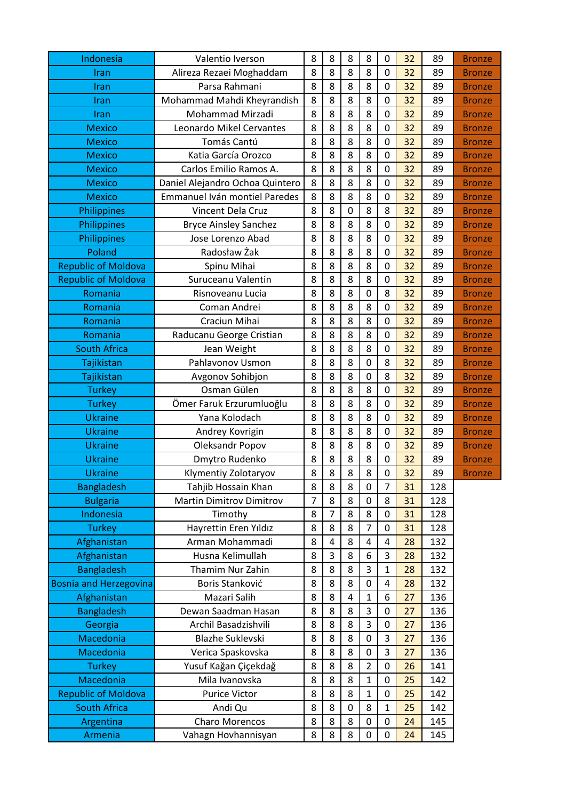| Indonesia                     | Valentio Iverson                | 8              | 8 | 8 | 8              | 0                | 32 | 89  | <b>Bronze</b> |
|-------------------------------|---------------------------------|----------------|---|---|----------------|------------------|----|-----|---------------|
| Iran                          | Alireza Rezaei Moghaddam        | 8              | 8 | 8 | 8              | $\mathbf 0$      | 32 | 89  | <b>Bronze</b> |
| Iran                          | Parsa Rahmani                   | 8              | 8 | 8 | 8              | 0                | 32 | 89  | <b>Bronze</b> |
| Iran                          | Mohammad Mahdi Kheyrandish      | 8              | 8 | 8 | 8              | $\mathbf 0$      | 32 | 89  | <b>Bronze</b> |
| Iran                          | Mohammad Mirzadi                | 8              | 8 | 8 | 8              | $\mathbf 0$      | 32 | 89  | <b>Bronze</b> |
| <b>Mexico</b>                 | Leonardo Mikel Cervantes        | 8              | 8 | 8 | 8              | 0                | 32 | 89  | <b>Bronze</b> |
| <b>Mexico</b>                 | Tomás Cantú                     | 8              | 8 | 8 | 8              | 0                | 32 | 89  | <b>Bronze</b> |
| <b>Mexico</b>                 | Katia García Orozco             | 8              | 8 | 8 | 8              | 0                | 32 | 89  | <b>Bronze</b> |
| <b>Mexico</b>                 | Carlos Emilio Ramos A.          | 8              | 8 | 8 | 8              | $\mathbf 0$      | 32 | 89  | <b>Bronze</b> |
| <b>Mexico</b>                 | Daniel Alejandro Ochoa Quintero | 8              | 8 | 8 | 8              | 0                | 32 | 89  | <b>Bronze</b> |
| <b>Mexico</b>                 | Emmanuel Iván montiel Paredes   | 8              | 8 | 8 | 8              | 0                | 32 | 89  | <b>Bronze</b> |
| Philippines                   | Vincent Dela Cruz               | 8              | 8 | 0 | 8              | 8                | 32 | 89  | <b>Bronze</b> |
| Philippines                   | <b>Bryce Ainsley Sanchez</b>    | 8              | 8 | 8 | 8              | 0                | 32 | 89  | <b>Bronze</b> |
| Philippines                   | Jose Lorenzo Abad               | 8              | 8 | 8 | 8              | $\mathbf 0$      | 32 | 89  | <b>Bronze</b> |
| Poland                        | Radosław Żak                    | 8              | 8 | 8 | 8              | 0                | 32 | 89  | <b>Bronze</b> |
| <b>Republic of Moldova</b>    | Spinu Mihai                     | 8              | 8 | 8 | 8              | $\mathbf 0$      | 32 | 89  | <b>Bronze</b> |
| <b>Republic of Moldova</b>    | Suruceanu Valentin              | 8              | 8 | 8 | 8              | $\boldsymbol{0}$ | 32 | 89  | <b>Bronze</b> |
| Romania                       | Risnoveanu Lucia                | 8              | 8 | 8 | 0              | 8                | 32 | 89  | <b>Bronze</b> |
| Romania                       | Coman Andrei                    | 8              | 8 | 8 | 8              | 0                | 32 | 89  | <b>Bronze</b> |
| Romania                       | Craciun Mihai                   | 8              | 8 | 8 | 8              | 0                | 32 | 89  | <b>Bronze</b> |
| Romania                       | Raducanu George Cristian        | 8              | 8 | 8 | 8              | $\mathbf 0$      | 32 | 89  | <b>Bronze</b> |
| <b>South Africa</b>           | Jean Weight                     | 8              | 8 | 8 | 8              | 0                | 32 | 89  | <b>Bronze</b> |
| Tajikistan                    | Pahlavonov Usmon                | 8              | 8 | 8 | $\mathbf 0$    | 8                | 32 | 89  | <b>Bronze</b> |
| Tajikistan                    | Avgonov Sohibjon                | 8              | 8 | 8 | 0              | 8                | 32 | 89  | <b>Bronze</b> |
| <b>Turkey</b>                 | Osman Gülen                     | 8              | 8 | 8 | 8              | 0                | 32 | 89  | <b>Bronze</b> |
| <b>Turkey</b>                 | Ömer Faruk Erzurumluoğlu        | 8              | 8 | 8 | 8              | 0                | 32 | 89  | <b>Bronze</b> |
| <b>Ukraine</b>                | Yana Kolodach                   | 8              | 8 | 8 | 8              | 0                | 32 | 89  | <b>Bronze</b> |
| <b>Ukraine</b>                | Andrey Kovrigin                 | 8              | 8 | 8 | 8              | $\mathbf 0$      | 32 | 89  | <b>Bronze</b> |
| <b>Ukraine</b>                | Oleksandr Popov                 | 8              | 8 | 8 | 8              | $\mathbf 0$      | 32 | 89  | <b>Bronze</b> |
| <b>Ukraine</b>                | Dmytro Rudenko                  | 8              | 8 | 8 | 8              | 0                | 32 | 89  | <b>Bronze</b> |
| <b>Ukraine</b>                | Klymentiy Zolotaryov            | 8              | 8 | 8 | 8              | 0                | 32 | 89  | <b>Bronze</b> |
| <b>Bangladesh</b>             | Tahjib Hossain Khan             | 8              | 8 | 8 | 0              | $\overline{7}$   | 31 | 128 |               |
| <b>Bulgaria</b>               | <b>Martin Dimitrov Dimitrov</b> | $\overline{7}$ | 8 | 8 | $\mathbf 0$    | 8                | 31 | 128 |               |
| Indonesia                     | Timothy                         | 8              | 7 | 8 | 8              | 0                | 31 | 128 |               |
| <b>Turkey</b>                 | Hayrettin Eren Yıldız           | 8              | 8 | 8 | $\overline{7}$ | 0                | 31 | 128 |               |
| Afghanistan                   | Arman Mohammadi                 | 8              | 4 | 8 | 4              | 4                | 28 | 132 |               |
| Afghanistan                   | Husna Kelimullah                | 8              | 3 | 8 | 6              | 3                | 28 | 132 |               |
| <b>Bangladesh</b>             | Thamim Nur Zahin                | 8              | 8 | 8 | 3              | $\mathbf{1}$     | 28 | 132 |               |
| <b>Bosnia and Herzegovina</b> | Boris Stanković                 | 8              | 8 | 8 | $\pmb{0}$      | 4                | 28 | 132 |               |
| Afghanistan                   | Mazari Salih                    | 8              | 8 | 4 | $\mathbf{1}$   | 6                | 27 | 136 |               |
| <b>Bangladesh</b>             | Dewan Saadman Hasan             | 8              | 8 | 8 | 3              | 0                | 27 | 136 |               |
| Georgia                       | Archil Basadzishvili            | 8              | 8 | 8 | 3              | 0                | 27 | 136 |               |
| Macedonia                     | <b>Blazhe Suklevski</b>         | 8              | 8 | 8 | 0              | 3                | 27 | 136 |               |
| Macedonia                     | Verica Spaskovska               | 8              | 8 | 8 | $\pmb{0}$      | 3                | 27 | 136 |               |
| <b>Turkey</b>                 | Yusuf Kağan Çiçekdağ            | 8              | 8 | 8 | $\overline{2}$ | 0                | 26 | 141 |               |
| Macedonia                     | Mila Ivanovska                  | 8              | 8 | 8 | $\mathbf{1}$   | 0                | 25 | 142 |               |
| <b>Republic of Moldova</b>    | <b>Purice Victor</b>            | 8              | 8 | 8 | $\mathbf{1}$   | $\boldsymbol{0}$ | 25 | 142 |               |
| <b>South Africa</b>           | Andi Qu                         | 8              | 8 | 0 | 8              | $\mathbf{1}$     | 25 | 142 |               |
| Argentina                     | Charo Morencos                  | 8              | 8 | 8 | 0              | 0                | 24 | 145 |               |
| Armenia                       | Vahagn Hovhannisyan             | 8              | 8 | 8 | 0              | 0                | 24 | 145 |               |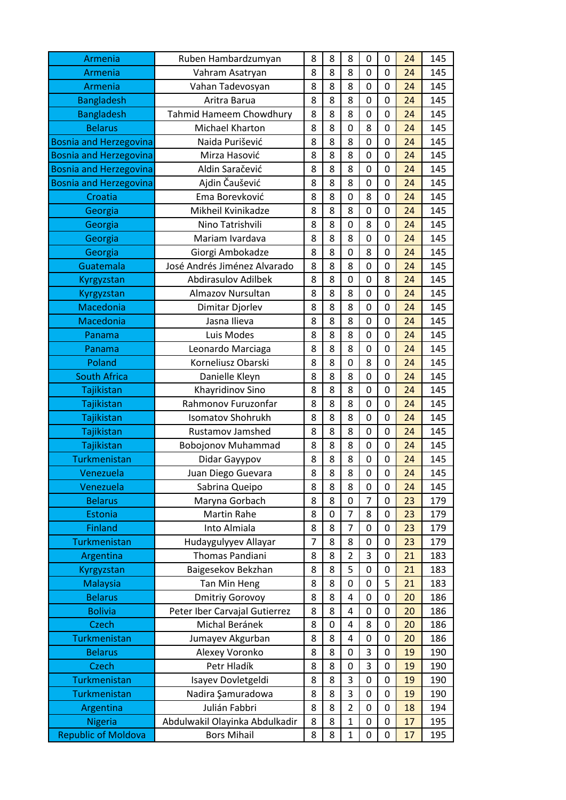| Armenia                       | Ruben Hambardzumyan            | 8 | 8           | 8              | 0           | 0           | 24 | 145 |
|-------------------------------|--------------------------------|---|-------------|----------------|-------------|-------------|----|-----|
| Armenia                       | Vahram Asatryan                | 8 | 8           | 8              | $\mathbf 0$ | $\mathbf 0$ | 24 | 145 |
| Armenia                       | Vahan Tadevosyan               | 8 | 8           | 8              | 0           | $\mathbf 0$ | 24 | 145 |
| <b>Bangladesh</b>             | Aritra Barua                   | 8 | 8           | 8              | $\mathbf 0$ | $\mathbf 0$ | 24 | 145 |
| <b>Bangladesh</b>             | Tahmid Hameem Chowdhury        | 8 | 8           | 8              | 0           | $\mathbf 0$ | 24 | 145 |
| <b>Belarus</b>                | Michael Kharton                | 8 | 8           | $\mathbf 0$    | 8           | $\mathbf 0$ | 24 | 145 |
| <b>Bosnia and Herzegovina</b> | Naida Purišević                | 8 | 8           | 8              | $\mathbf 0$ | 0           | 24 | 145 |
| <b>Bosnia and Herzegovina</b> | Mirza Hasović                  | 8 | 8           | 8              | $\mathbf 0$ | $\mathbf 0$ | 24 | 145 |
| <b>Bosnia and Herzegovina</b> | Aldin Saračević                | 8 | 8           | 8              | $\mathbf 0$ | $\mathbf 0$ | 24 | 145 |
| <b>Bosnia and Herzegovina</b> | Ajdin Čaušević                 | 8 | 8           | 8              | 0           | $\mathbf 0$ | 24 | 145 |
| Croatia                       | Ema Borevković                 | 8 | 8           | $\mathbf 0$    | 8           | $\mathbf 0$ | 24 | 145 |
| Georgia                       | Mikheil Kvinikadze             | 8 | 8           | 8              | 0           | $\mathbf 0$ | 24 | 145 |
| Georgia                       | Nino Tatrishvili               | 8 | 8           | $\mathbf 0$    | 8           | $\mathbf 0$ | 24 | 145 |
| Georgia                       | Mariam Ivardava                | 8 | 8           | 8              | $\mathbf 0$ | $\mathbf 0$ | 24 | 145 |
| Georgia                       | Giorgi Ambokadze               | 8 | 8           | $\mathbf 0$    | 8           | $\mathbf 0$ | 24 | 145 |
| Guatemala                     | José Andrés Jiménez Alvarado   | 8 | 8           | 8              | $\mathbf 0$ | $\mathbf 0$ | 24 | 145 |
| Kyrgyzstan                    | <b>Abdirasulov Adilbek</b>     | 8 | 8           | $\mathbf 0$    | 0           | 8           | 24 | 145 |
| Kyrgyzstan                    | Almazov Nursultan              | 8 | 8           | 8              | $\mathbf 0$ | $\mathbf 0$ | 24 | 145 |
| Macedonia                     | Dimitar Djorlev                | 8 | 8           | 8              | 0           | 0           | 24 | 145 |
| Macedonia                     | Jasna Ilieva                   | 8 | 8           | 8              | 0           | $\mathbf 0$ | 24 | 145 |
| Panama                        | Luis Modes                     | 8 | 8           | 8              | $\mathbf 0$ | $\mathbf 0$ | 24 | 145 |
| Panama                        | Leonardo Marciaga              | 8 | 8           | 8              | 0           | $\mathbf 0$ | 24 | 145 |
| Poland                        | Korneliusz Obarski             | 8 | 8           | $\mathbf 0$    | 8           | $\mathbf 0$ | 24 | 145 |
| <b>South Africa</b>           | Danielle Kleyn                 | 8 | 8           | 8              | 0           | $\mathbf 0$ | 24 | 145 |
| Tajikistan                    | Khayridinov Sino               | 8 | 8           | 8              | $\mathbf 0$ | $\mathbf 0$ | 24 | 145 |
| Tajikistan                    | Rahmonov Furuzonfar            | 8 | 8           | 8              | $\mathbf 0$ | $\mathbf 0$ | 24 | 145 |
| Tajikistan                    | <b>Isomatov Shohrukh</b>       | 8 | 8           | 8              | $\mathbf 0$ | $\mathbf 0$ | 24 | 145 |
| Tajikistan                    | <b>Rustamov Jamshed</b>        | 8 | 8           | 8              | $\mathbf 0$ | $\mathbf 0$ | 24 | 145 |
| Tajikistan                    | <b>Bobojonov Muhammad</b>      | 8 | 8           | 8              | 0           | $\mathbf 0$ | 24 | 145 |
| Turkmenistan                  | Didar Gayypov                  | 8 | 8           | 8              | $\mathbf 0$ | $\mathbf 0$ | 24 | 145 |
| Venezuela                     | Juan Diego Guevara             | 8 | 8           | 8              | 0           | $\mathbf 0$ | 24 | 145 |
| Venezuela                     | Sabrina Queipo                 | 8 | 8           | 8              | 0           | 0           | 24 | 145 |
| <b>Belarus</b>                | Maryna Gorbach                 | 8 | 8           | 0              | 7           | $\mathbf 0$ | 23 | 179 |
| Estonia                       | <b>Martin Rahe</b>             | 8 | $\mathbf 0$ | $\overline{7}$ | 8           | 0           | 23 | 179 |
| <b>Finland</b>                | Into Almiala                   | 8 | 8           | $\overline{7}$ | $\mathbf 0$ | $\mathbf 0$ | 23 | 179 |
| Turkmenistan                  | Hudaygulyyev Allayar           | 7 | 8           | 8              | 0           | 0           | 23 | 179 |
| Argentina                     | Thomas Pandiani                | 8 | 8           | $\overline{2}$ | 3           | 0           | 21 | 183 |
| Kyrgyzstan                    | Baigesekov Bekzhan             | 8 | 8           | 5              | 0           | 0           | 21 | 183 |
| <b>Malaysia</b>               | Tan Min Heng                   | 8 | 8           | 0              | 0           | 5           | 21 | 183 |
| <b>Belarus</b>                | <b>Dmitriy Gorovoy</b>         | 8 | 8           | 4              | $\mathbf 0$ | $\mathbf 0$ | 20 | 186 |
| <b>Bolivia</b>                | Peter Iber Carvajal Gutierrez  | 8 | 8           | 4              | 0           | $\mathbf 0$ | 20 | 186 |
| <b>Czech</b>                  | Michal Beránek                 | 8 | $\mathbf 0$ | $\overline{4}$ | 8           | $\mathbf 0$ | 20 | 186 |
| Turkmenistan                  | Jumayev Akgurban               | 8 | 8           | 4              | 0           | $\mathbf 0$ | 20 | 186 |
| <b>Belarus</b>                | Alexey Voronko                 | 8 | 8           | $\mathbf 0$    | 3           | 0           | 19 | 190 |
| <b>Czech</b>                  | Petr Hladík                    | 8 | 8           | 0              | 3           | 0           | 19 | 190 |
| Turkmenistan                  | Isayev Dovletgeldi             | 8 | 8           | 3              | 0           | 0           | 19 | 190 |
| Turkmenistan                  | Nadira Şamuradowa              | 8 | 8           | 3              | $\mathbf 0$ | $\mathbf 0$ | 19 | 190 |
| Argentina                     | Julián Fabbri                  | 8 | 8           | $\overline{2}$ | 0           | 0           | 18 | 194 |
| <b>Nigeria</b>                | Abdulwakil Olayinka Abdulkadir | 8 | 8           | $\mathbf{1}$   | $\mathbf 0$ | $\mathbf 0$ | 17 | 195 |
| <b>Republic of Moldova</b>    | <b>Bors Mihail</b>             | 8 | 8           | $\mathbf{1}$   | 0           | $\mathbf 0$ | 17 | 195 |